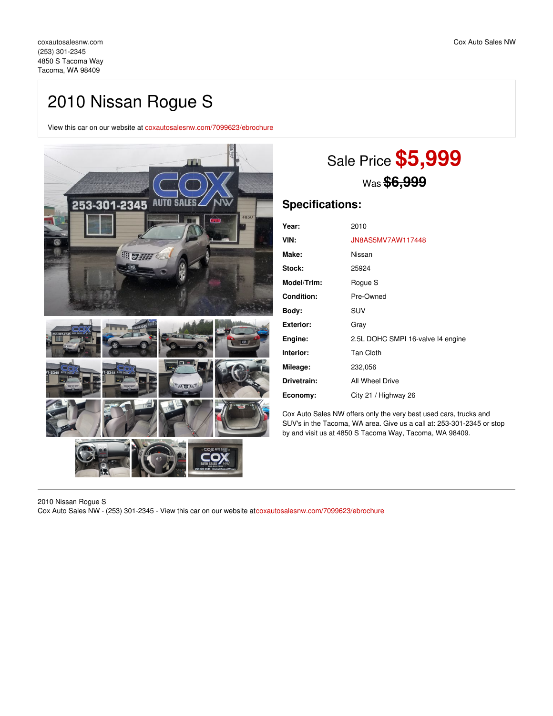## 2010 Nissan Rogue S

View this car on our website at [coxautosalesnw.com/7099623/ebrochure](https://coxautosalesnw.com/vehicle/7099623/2010-nissan-rogue-s-tacoma-wa-98409/7099623/ebrochure)



# Sale Price **\$5,999** Was **\$6,999**

### **Specifications:**

| Year:              | 2010                              |
|--------------------|-----------------------------------|
| VIN:               | JN8AS5MV7AW117448                 |
| Make:              | Nissan                            |
| <b>Stock:</b>      | 25924                             |
| <b>Model/Trim:</b> | Rogue S                           |
| <b>Condition:</b>  | Pre-Owned                         |
| Body:              | <b>SUV</b>                        |
| Exterior:          | Gray                              |
| Engine:            | 2.5L DOHC SMPI 16-valve I4 engine |
| Interior:          | <b>Tan Cloth</b>                  |
| Mileage:           | 232,056                           |
| Drivetrain:        | All Wheel Drive                   |
| Economy:           | City 21 / Highway 26              |

Cox Auto Sales NW offers only the very best used cars, trucks and SUV's in the Tacoma, WA area. Give us a call at: 253-301-2345 or stop by and visit us at 4850 S Tacoma Way, Tacoma, WA 98409.

2010 Nissan Rogue S Cox Auto Sales NW - (253) 301-2345 - View this car on our website at[coxautosalesnw.com/7099623/ebrochure](https://coxautosalesnw.com/vehicle/7099623/2010-nissan-rogue-s-tacoma-wa-98409/7099623/ebrochure)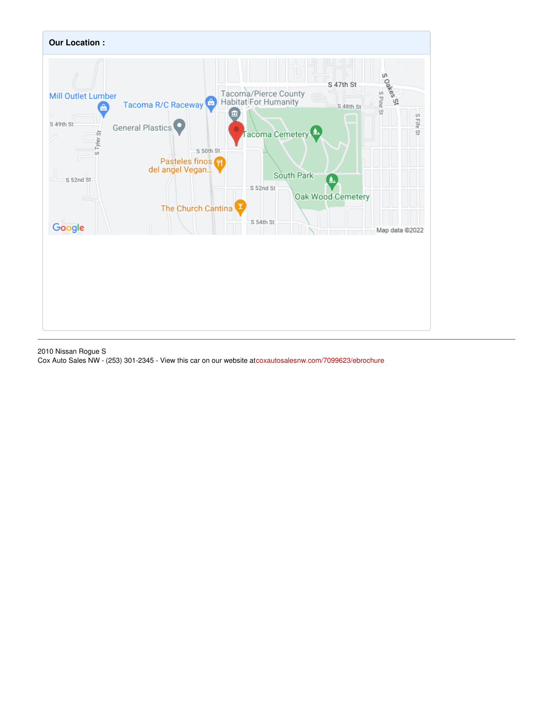

2010 Nissan Rogue S Cox Auto Sales NW - (253) 301-2345 - View this car on our website at[coxautosalesnw.com/7099623/ebrochure](https://coxautosalesnw.com/vehicle/7099623/2010-nissan-rogue-s-tacoma-wa-98409/7099623/ebrochure)